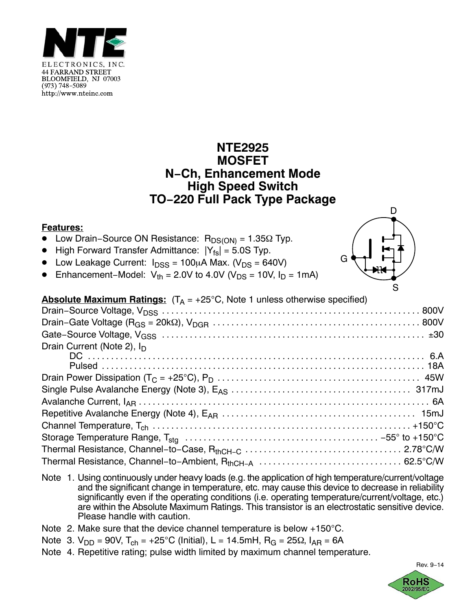

## **NTE2925 MOSFET N−Ch, Enhancement Mode High Speed Switch TO−220 Full Pack Type Package**

## **Features:**

- -Low Drain–Source ON Resistance:  $R_{DS(ON)} = 1.35Ω$  Typ.
- -High Forward Transfer Admittance:  $|Y_{fs}| = 5.0$ S Typ.
- Low Leakage Current:  $I_{DSS} = 100 \mu A$  Max. (V<sub>DS</sub> = 640V)
- -Enhancement–Model:  $V_{th} = 2.0V$  to 4.0V ( $V_{DS} = 10V$ ,  $I_D = 1mA$ )



| <b>Absolute Maximum Ratings:</b> $(T_A = +25^{\circ}C,$ Note 1 unless otherwise specified) |  |
|--------------------------------------------------------------------------------------------|--|
|                                                                                            |  |
|                                                                                            |  |
|                                                                                            |  |
| Drain Current (Note 2), $I_D$                                                              |  |
|                                                                                            |  |
|                                                                                            |  |
|                                                                                            |  |
|                                                                                            |  |
|                                                                                            |  |
|                                                                                            |  |
|                                                                                            |  |
|                                                                                            |  |
|                                                                                            |  |
|                                                                                            |  |

- Note 1. Using continuously under heavy loads (e.g. the application of high temperature/current/voltage and the significant change in temperature, etc. may cause this device to decrease in reliability significantly even if the operating conditions (i.e. operating temperature/current/voltage, etc.) are within the Absolute Maximum Ratings. This transistor is an electrostatic sensitive device. Please handle with caution.
- Note 2. Make sure that the device channel temperature is below  $+150^{\circ}$ C.
- Note 3.  $V_{DD} = 90V$ ,  $T_{ch} = +25^{\circ}C$  (Initial), L = 14.5mH,  $R_G = 25\Omega$ ,  $I_{AR} = 6A$
- Note 4. Repetitive rating; pulse width limited by maximum channel temperature.

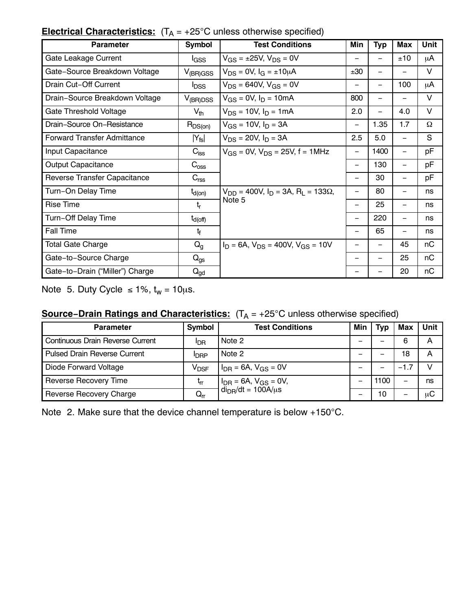| <b>Parameter</b>                    | <b>Symbol</b>           | <b>Test Conditions</b>                                                 | Min                      | <b>Typ</b>               | Max                      | <b>Unit</b> |
|-------------------------------------|-------------------------|------------------------------------------------------------------------|--------------------------|--------------------------|--------------------------|-------------|
| Gate Leakage Current                | l <sub>GSS</sub>        | $V_{GS}$ = ±25V, $V_{DS}$ = 0V                                         | $\qquad \qquad$          | —                        | ±10                      | μA          |
| Gate-Source Breakdown Voltage       | $V_{(BR)GSS}$           | $V_{DS} = 0V$ , $I_G = \pm 10 \mu A$                                   | ±30                      |                          | $\overline{\phantom{0}}$ | V           |
| Drain Cut-Off Current               | <b>l</b> <sub>DSS</sub> | $V_{DS}$ = 640V, $V_{GS}$ = 0V                                         |                          |                          | 100                      | μA          |
| Drain-Source Breakdown Voltage      | $V_{(BR)DSS}$           | $V_{GS} = 0V$ , $I_D = 10mA$                                           | 800                      | -                        | $\overline{\phantom{0}}$ | V           |
| Gate Threshold Voltage              | $V_{th}$                | $V_{DS}$ = 10V, $I_D$ = 1mA                                            | 2.0                      |                          | 4.0                      | V           |
| Drain-Source On-Resistance          | $R_{DS(on)}$            | $V_{GS}$ = 10V, $I_D$ = 3A                                             | $\overline{\phantom{0}}$ | 1.35                     | 1.7                      | Ω           |
| <b>Forward Transfer Admittance</b>  | $ Y_{fs} $              | $V_{DS}$ = 20V, $I_D$ = 3A                                             | 2.5                      | 5.0                      | $\qquad \qquad -$        | S           |
| Input Capacitance                   | $C_{\text{iss}}$        | $V_{GS}$ = 0V, $V_{DS}$ = 25V, f = 1MHz                                | $\qquad \qquad -$        | 1400                     | $\overline{\phantom{m}}$ | pF          |
| <b>Output Capacitance</b>           | $C_{\text{oss}}$        |                                                                        | $\overline{\phantom{0}}$ | 130                      | $\overline{\phantom{m}}$ | рF          |
| <b>Reverse Transfer Capacitance</b> | C <sub>rss</sub>        |                                                                        | —                        | 30                       | $\overline{\phantom{m}}$ | рF          |
| Turn-On Delay Time                  | $t_{\sf d(on)}$         | $V_{DD}$ = 400V, $I_D$ = 3A, R <sub>I</sub> = 133 $\Omega$ ,<br>Note 5 | $\overline{\phantom{0}}$ | 80                       |                          | ns          |
| <b>Rise Time</b>                    | $t_{r}$                 |                                                                        |                          | 25                       | $\overline{\phantom{0}}$ | ns          |
| Turn-Off Delay Time                 | $t_{\sf d(off)}$        |                                                                        |                          | 220                      | $\overline{\phantom{0}}$ | ns          |
| <b>Fall Time</b>                    | t <sub>f</sub>          |                                                                        |                          | 65                       | $\overline{\phantom{m}}$ | ns          |
| <b>Total Gate Charge</b>            | $Q_{q}$                 | $I_D = 6A$ , $V_{DS} = 400V$ , $V_{GS} = 10V$                          | —                        |                          | 45                       | пC          |
| Gate-to-Source Charge               | $Q_{gs}$                |                                                                        | —                        | $\overline{\phantom{m}}$ | 25                       | пC          |
| Gate-to-Drain ("Miller") Charge     | $Q_{gd}$                |                                                                        |                          |                          | 20                       | nC          |

## **Electrical Characteristics:**  $(T_A = +25^{\circ}C$  unless otherwise specified)

Note 5. Duty Cycle  $\leq 1\%$ ,  $t_w = 10 \mu s$ .

## **Source–Drain Ratings and Characteristics:** (T<sub>A</sub> = +25°C unless otherwise specified)

| <b>Parameter</b>                    | Symbol                              | <b>Test Conditions</b>                                                   | Min | Гур  | <b>Max</b> | Unit |
|-------------------------------------|-------------------------------------|--------------------------------------------------------------------------|-----|------|------------|------|
| Continuous Drain Reverse Current    | ldr                                 | Note 2                                                                   | -   |      | 6          | A    |
| <b>Pulsed Drain Reverse Current</b> | <b>IDRP</b>                         | Note 2                                                                   | -   |      | 18         | A    |
| Diode Forward Voltage               | $V_{\sf{DSF}}$                      | $I_{\text{DR}}$ = 6A, $V_{\text{GS}}$ = 0V                               |     |      | $-1.7$     |      |
| <b>Reverse Recovery Time</b>        | եր                                  | $I_{\text{DR}}$ = 6A, $V_{\text{GS}}$ = 0V,<br>$di_{DR}/dt = 100A/\mu s$ |     | 1100 | -          | ns   |
| Reverse Recovery Charge             | $\mathsf{Q}_{\mathsf{r}\mathsf{r}}$ |                                                                          | -   | 10   | -          | иC   |

Note 2. Make sure that the device channel temperature is below  $+150^{\circ}$ C.